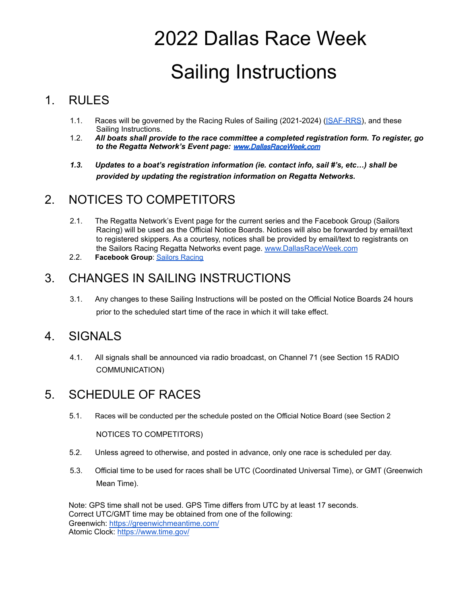# 2022 Dallas Race Week Sailing Instructions

#### 1. RULES

- 1.1. Races will be governed by the Racing Rules of Sailing (2021-2024) [\(ISAF-RRS](http://www.sailing.org/tools/documents/ISAFRRS20132016Final-%5b13376%5d.pdf)), and these Sailing Instructions.
- 1.2. *All boats shall provide to the race committee a completed registration form. To register, go to the Regatta Network's Event page:* [www.DallasRaceWeek.com](http://www.dallasraceweek.com)
- *1.3. Updates to a boat's registration information (ie. contact info, sail #'s, etc…) shall be provided by updating the registration information on Regatta Networks.*

#### 2. NOTICES TO COMPETITORS

- 2.1. The Regatta Network's Event page for the current series and the Facebook Group (Sailors Racing) will be used as the Official Notice Boards. Notices will also be forwarded by email/text to registered skippers. As a courtesy, notices shall be provided by email/text to registrants on the Sailors Racing Regatta Networks event page. [www.DallasRaceWeek.com](http://www.dallasraceweek.com)
- 2.2. **Facebook Group**: Sailors [Racing](https://www.facebook.com/groups/132993020467296/?ref=br_rs)

#### 3. CHANGES IN SAILING INSTRUCTIONS

3.1. Any changes to these Sailing Instructions will be posted on the Official Notice Boards 24 hours prior to the scheduled start time of the race in which it will take effect.

#### 4. SIGNALS

4.1. All signals shall be announced via radio broadcast, on Channel 71 (see Section 15 RADIO COMMUNICATION)

#### 5. SCHEDULE OF RACES

5.1. Races will be conducted per the schedule posted on the Official Notice Board (see Section 2

NOTICES TO COMPETITORS)

- 5.2. Unless agreed to otherwise, and posted in advance, only one race is scheduled per day.
- 5.3. Official time to be used for races shall be UTC (Coordinated Universal Time), or GMT (Greenwich Mean Time).

Note: GPS time shall not be used. GPS Time differs from UTC by at least 17 seconds. Correct UTC/GMT time may be obtained from one of the following: Greenwich: <https://greenwichmeantime.com/> Atomic Clock: <https://www.time.gov/>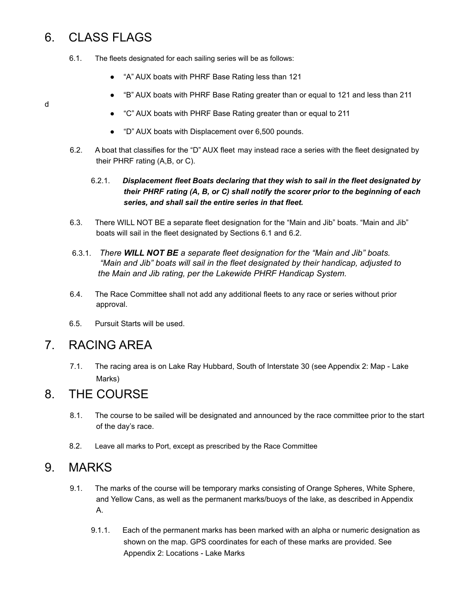#### 6. CLASS FLAGS

- 6.1. The fleets designated for each sailing series will be as follows:
	- "A" AUX boats with PHRF Base Rating less than 121
	- "B" AUX boats with PHRF Base Rating greater than or equal to 121 and less than 211
	- "C" AUX boats with PHRF Base Rating greater than or equal to 211
	- "D" AUX boats with Displacement over 6,500 pounds.
- 6.2. A boat that classifies for the "D" AUX fleet may instead race a series with the fleet designated by their PHRF rating (A,B, or C).

#### 6.2.1. *Displacement fleet Boats declaring that they wish to sail in the fleet designated by their PHRF rating (A, B, or C) shall notify the scorer prior to the beginning of each series, and shall sail the entire series in that fleet.*

- 6.3. There WILL NOT BE a separate fleet designation for the "Main and Jib" boats. "Main and Jib" boats will sail in the fleet designated by Sections 6.1 and 6.2.
- 6.3.1. *There WILL NOT BE a separate fleet designation for the "Main and Jib" boats. "Main and Jib" boats will sail in the fleet designated by their handicap, adjusted to the Main and Jib rating, per the Lakewide PHRF Handicap System.*
- 6.4. The Race Committee shall not add any additional fleets to any race or series without prior approval.
- 6.5. Pursuit Starts will be used.

#### 7. RACING AREA

7.1. The racing area is on Lake Ray Hubbard, South of Interstate 30 (see Appendix 2: Map - Lake Marks)

#### 8. THE COURSE

- 8.1. The course to be sailed will be designated and announced by the race committee prior to the start of the day's race.
- 8.2. Leave all marks to Port, except as prescribed by the Race Committee

#### 9. MARKS

- 9.1. The marks of the course will be temporary marks consisting of Orange Spheres, White Sphere, and Yellow Cans, as well as the permanent marks/buoys of the lake, as described in Appendix A.
	- 9.1.1. Each of the permanent marks has been marked with an alpha or numeric designation as shown on the map. GPS coordinates for each of these marks are provided. See Appendix 2: Locations - Lake Marks

d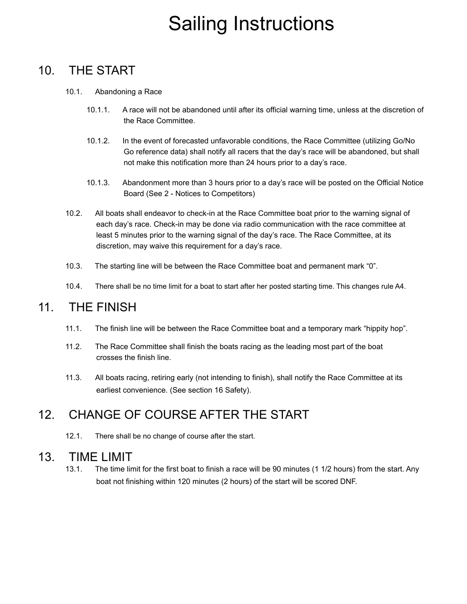#### 10. THE START

- 10.1. Abandoning a Race
	- 10.1.1. A race will not be abandoned until after its official warning time, unless at the discretion of the Race Committee.
	- 10.1.2. In the event of forecasted unfavorable conditions, the Race Committee (utilizing Go/No Go reference data) shall notify all racers that the day's race will be abandoned, but shall not make this notification more than 24 hours prior to a day's race.
	- 10.1.3. Abandonment more than 3 hours prior to a day's race will be posted on the Official Notice Board (See 2 - Notices to Competitors)
- 10.2. All boats shall endeavor to check-in at the Race Committee boat prior to the warning signal of each day's race. Check-in may be done via radio communication with the race committee at least 5 minutes prior to the warning signal of the day's race. The Race Committee, at its discretion, may waive this requirement for a day's race.
- 10.3. The starting line will be between the Race Committee boat and permanent mark "0".
- 10.4. There shall be no time limit for a boat to start after her posted starting time. This changes rule A4.

#### 11. THE FINISH

- 11.1. The finish line will be between the Race Committee boat and a temporary mark "hippity hop".
- 11.2. The Race Committee shall finish the boats racing as the leading most part of the boat crosses the finish line.
- 11.3. All boats racing, retiring early (not intending to finish), shall notify the Race Committee at its earliest convenience. (See section 16 Safety).

#### 12. CHANGE OF COURSE AFTER THE START

12.1. There shall be no change of course after the start.

#### 13. TIME LIMIT

13.1. The time limit for the first boat to finish a race will be 90 minutes (1 1/2 hours) from the start. Any boat not finishing within 120 minutes (2 hours) of the start will be scored DNF.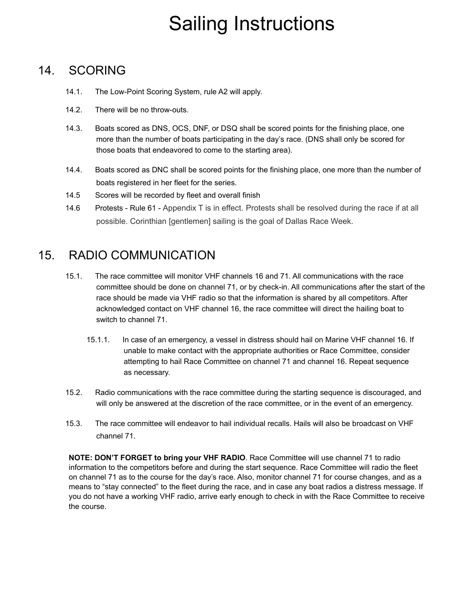#### 14. SCORING

- 14.1. The Low-Point Scoring System, rule A2 will apply.
- 14.2. There will be no throw-outs.
- 14.3. Boats scored as DNS, OCS, DNF, or DSQ shall be scored points for the finishing place, one more than the number of boats participating in the day's race. (DNS shall only be scored for those boats that endeavored to come to the starting area).
- 14.4. Boats scored as DNC shall be scored points for the finishing place, one more than the number of boats registered in her fleet for the series.
- 14.5 Scores will be recorded by fleet and overall finish
- 14.6 Protests Rule 61 Appendix T is in effect. Protests shall be resolved during the race if at all possible. Corinthian [gentlemen] sailing is the goal of Dallas Race Week.

#### 15. RADIO COMMUNICATION

- 15.1. The race committee will monitor VHF channels 16 and 71. All communications with the race committee should be done on channel 71, or by check-in. All communications after the start of the race should be made via VHF radio so that the information is shared by all competitors. After acknowledged contact on VHF channel 16, the race committee will direct the hailing boat to switch to channel 71.
	- 15.1.1. In case of an emergency, a vessel in distress should hail on Marine VHF channel 16. If unable to make contact with the appropriate authorities or Race Committee, consider attempting to hail Race Committee on channel 71 and channel 16. Repeat sequence as necessary.
- 15.2. Radio communications with the race committee during the starting sequence is discouraged, and will only be answered at the discretion of the race committee, or in the event of an emergency.
- 15.3. The race committee will endeavor to hail individual recalls. Hails will also be broadcast on VHF channel 71.

**NOTE: DON'T FORGET to bring your VHF RADIO**. Race Committee will use channel 71 to radio information to the competitors before and during the start sequence. Race Committee will radio the fleet on channel 71 as to the course for the day's race. Also, monitor channel 71 for course changes, and as a means to "stay connected" to the fleet during the race, and in case any boat radios a distress message. If you do not have a working VHF radio, arrive early enough to check in with the Race Committee to receive the course.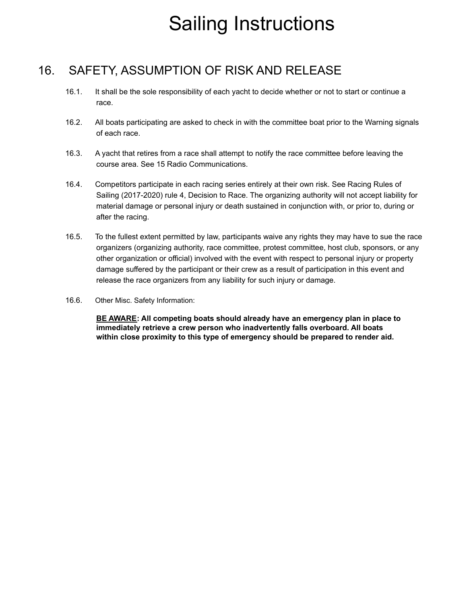### 16. SAFETY, ASSUMPTION OF RISK AND RELEASE

- 16.1. It shall be the sole responsibility of each yacht to decide whether or not to start or continue a race.
- 16.2. All boats participating are asked to check in with the committee boat prior to the Warning signals of each race.
- 16.3. A yacht that retires from a race shall attempt to notify the race committee before leaving the course area. See 15 Radio Communications.
- 16.4. Competitors participate in each racing series entirely at their own risk. See Racing Rules of Sailing (2017-2020) rule 4, Decision to Race. The organizing authority will not accept liability for material damage or personal injury or death sustained in conjunction with, or prior to, during or after the racing.
- 16.5. To the fullest extent permitted by law, participants waive any rights they may have to sue the race organizers (organizing authority, race committee, protest committee, host club, sponsors, or any other organization or official) involved with the event with respect to personal injury or property damage suffered by the participant or their crew as a result of participation in this event and release the race organizers from any liability for such injury or damage.
- 16.6. Other Misc. Safety Information:

**BE AWARE: All competing boats should already have an emergency plan in place to immediately retrieve a crew person who inadvertently falls overboard. All boats within close proximity to this type of emergency should be prepared to render aid.**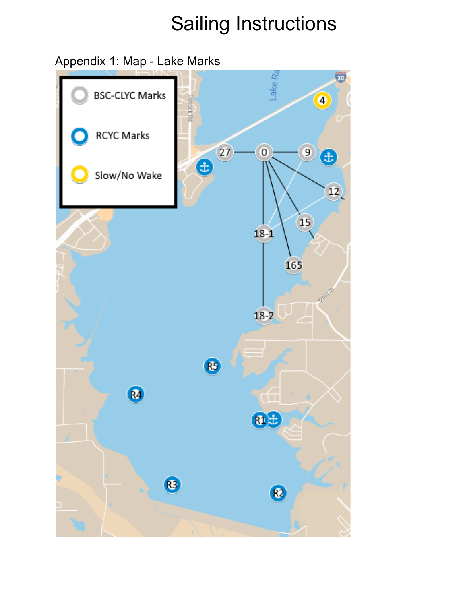Appendix 1: Map - Lake Marks

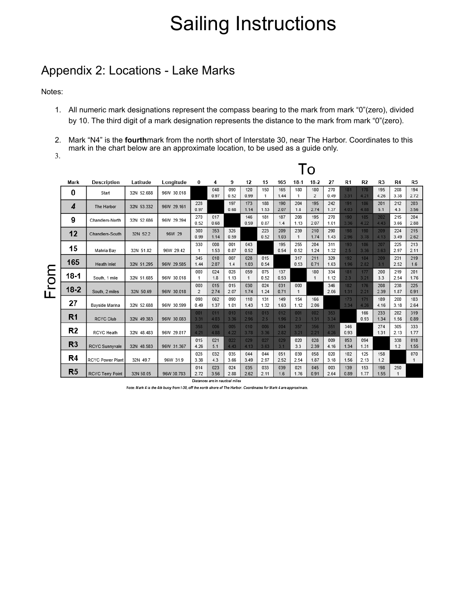#### Appendix 2: Locations - Lake Marks

Notes:

- 1. All numeric mark designations represent the compass bearing to the mark from mark "0"(zero), divided by 10. The third digit of a mark designation represents the distance to the mark from mark "0"(zero).
- 2. Mark "N4" is the **fourth**mark from the north short of Interstate 30, near The Harbor. Coordinates to this mark in the chart below are an approximate location, to be used as a guide only.

3.

L

|          |                |                         | O          |            |                       |             |             |             |                     |             |                     |                       |             |                |             |                |             |                     |
|----------|----------------|-------------------------|------------|------------|-----------------------|-------------|-------------|-------------|---------------------|-------------|---------------------|-----------------------|-------------|----------------|-------------|----------------|-------------|---------------------|
|          | Mark           | <b>Description</b>      | Latitude   | Longitude  | 0                     | 4           | 9           | 12          | 15                  | 165         | $18-1$              | $18-2$                | 27          | R <sub>1</sub> | R2          | R <sub>3</sub> | R4          | R5                  |
| mol<br>⊥ | 0              | Start                   | 32N 52.688 | 96W 30.018 |                       | 048<br>0.97 | 090<br>0.52 | 120<br>0.99 | 150<br>$\mathbf{1}$ | 165<br>1.44 | 180<br>1            | 180<br>$\overline{2}$ | 270<br>0.49 | 181<br>3.31    | 178<br>4.21 | 195<br>4.26    | 208<br>3.38 | 194<br>2.72         |
|          | 4              | The Harbor              | 32N 53.332 | 96W 29.161 | 228<br>0.97           |             | 197<br>0.68 | 173<br>1.14 | 188<br>1.53         | 190<br>2.07 | 204<br>1.8          | 195<br>2.74           | 242<br>1.37 | 191<br>4.03    | 186<br>4.88 | 201<br>5.1     | 212<br>4.3  | 203<br>3.56         |
|          | 9              | Chandlers-North         | 32N 52.686 | 96W 29.394 | 270<br>0.52           | 017<br>0.68 |             | 146<br>0.59 | 181<br>0.87         | 187<br>1.4  | 208<br>1.13         | 195<br>2.07           | 270<br>1.01 | 190<br>3.36    | 185<br>4.22 | 202<br>4.43    | 215<br>3.66 | 204<br>2.88         |
|          | 12             | Chandlers-South         | 32N 52.2   | 96W 29     | 300<br>0.99           | 353<br>1.14 | 326<br>0.59 |             | 223<br>0.52         | 209<br>1.03 | 239<br>$\mathbf{1}$ | 210<br>1.74           | 290<br>1.43 | 198<br>2.96    | 190<br>3.78 | 209<br>4.13    | 224<br>3.49 | 215<br>2.62         |
|          | 15             | Mahria Bay              | 32N 51.82  | 96W 29.42  | 330<br>1              | 008<br>1.53 | 001<br>0.87 | 043<br>0.52 |                     | 195<br>0.54 | 255<br>0.52         | 204<br>1.24           | 311<br>1.32 | 193<br>2.5     | 186<br>3.36 | 207<br>3.63    | 225<br>2.97 | 213<br>2.11         |
|          | 165            | <b>Heath Inlet</b>      | 32N 51.295 | 96W 29.585 | 345<br>1.44           | 010<br>2.07 | 007<br>1.4  | 028<br>1.03 | 015<br>0.54         |             | 317<br>0.53         | 211<br>0.71           | 329<br>1.63 | 192<br>1.96    | 184<br>2.82 | 209<br>3.1     | 231<br>2.52 | 219<br>1.6          |
|          | 18-1           | South, 1 mile           | 32N 51.685 | 96W 30.018 | 000<br>1              | 024<br>1.8  | 028<br>1.13 | 059<br>1    | 075<br>0.52         | 137<br>0.53 |                     | 180<br>1              | 334<br>1.12 | 181<br>2.3     | 177<br>3.21 | 200<br>3.3     | 219<br>2.54 | 201<br>1.76         |
|          | $18 - 2$       | South, 2 miles          | 32N 50.69  | 96W 30.018 | 000<br>$\overline{2}$ | 015<br>2.74 | 015<br>2.07 | 030<br>1.74 | 024<br>1.24         | 031<br>0.71 | 000<br>1            |                       | 346<br>2.06 | 182<br>1.31    | 176<br>2.21 | 208<br>2.39    | 238<br>1.87 | 225<br>0.91         |
|          | 27             | Bayside Marina          | 32N 52.688 | 96W 30.599 | 090<br>0.49           | 062<br>1.37 | 090<br>1.01 | 110<br>1.43 | 131<br>1.32         | 149<br>1.63 | 154<br>1.12         | 166<br>2.06           |             | 173<br>3.34    | 171<br>4.26 | 189<br>4.16    | 200<br>3.18 | 183<br>2.64         |
|          | R1             | <b>RCYC Club</b>        | 32N 49.383 | 96W 30.083 | 001<br>3.31           | 011<br>4.03 | 010<br>3.36 | 018<br>2.96 | 013<br>2.5          | 012<br>1.96 | 001<br>2.3          | 002<br>1.31           | 353<br>3.34 |                | 166<br>0.93 | 233<br>1.34    | 282<br>1.56 | 319<br>0.89         |
|          | R <sub>2</sub> | <b>RCYC Heath</b>       | 32N 48.483 | 96W 29.817 | 358<br>4.21           | 006<br>4.88 | 005<br>4.22 | 010<br>3.78 | 006<br>3.36         | 004<br>2.82 | 357<br>3.21         | 356<br>2.21           | 351<br>4.26 | 346<br>0.93    |             | 274<br>1.31    | 305<br>2.13 | 333<br>1.77         |
|          | R <sub>3</sub> | <b>RCYC Sunnyvale</b>   | 32N 48.583 | 96W 31.367 | 015<br>4.26           | 021<br>5.1  | 022<br>4.43 | 029<br>4.13 | 027<br>3.63         | 029<br>3.1  | 020<br>3.3          | 028<br>2.39           | 009<br>4.16 | 053<br>1.34    | 094<br>1.31 |                | 338<br>1.2  | 018<br>1.55         |
|          | R4             | <b>RCYC Power Plant</b> | 32N 49.7   | 96W 31.9   | 028<br>3.38           | 032<br>4.3  | 035<br>3.66 | 044<br>3.49 | 044<br>2.97         | 051<br>2.52 | 039<br>2.54         | 058<br>1.87           | 020<br>3.18 | 102<br>1.56    | 125<br>2.13 | 158<br>1.2     |             | 070<br>$\mathbf{1}$ |
|          | R <sub>5</sub> | <b>RCYC Terry Point</b> | 32N 50.05  | 96W 30.783 | 014<br>2.72           | 023<br>3.56 | 024<br>2.88 | 035<br>2.62 | 033<br>2.11         | 039<br>1.6  | 021<br>1.76         | 045<br>0.91           | 003<br>2.64 | 139<br>0.89    | 153<br>1.77 | 198<br>1.55    | 250<br>1    |                     |

Distances are in nautical miles

Note: Mark 4 is the 4th buoy from I-30, off the north shore of The Harbor. Coordinates for Mark 4 are approximate